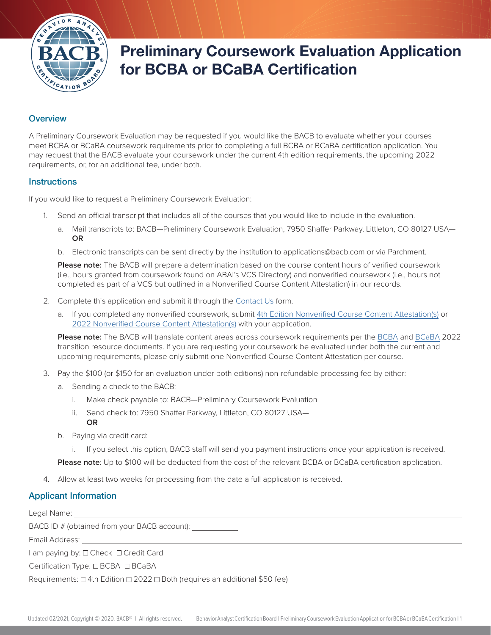

# Preliminary Coursework Evaluation Application for BCBA or BCaBA Certification

## **Overview**

A Preliminary Coursework Evaluation may be requested if you would like the BACB to evaluate whether your courses meet BCBA or BCaBA coursework requirements prior to completing a full BCBA or BCaBA certification application. You may request that the BACB evaluate your coursework under the current 4th edition requirements, the upcoming 2022 requirements, or, for an additional fee, under both.

#### **Instructions**

If you would like to request a Preliminary Coursework Evaluation:

- Send an official transcript that includes all of the courses that you would like to include in the evaluation.
	- a. Mail transcripts to: BACB—Preliminary Coursework Evaluation, 7950 Shaffer Parkway, Littleton, CO 80127 USA— **OR**
	- b. Electronic transcripts can be sent directly by the institution to applications@bacb.com or via Parchment.

**Please note:** The BACB will prepare a determination based on the course content hours of verified coursework (i.e., hours granted from coursework found on ABAI's VCS Directory) and nonverified coursework (i.e., hours not completed as part of a VCS but outlined in a Nonverified Course Content Attestation) in our records.

- 2. Complete this application and submit it through the [Contact Us](https://www.bacb.com/contact-us/) form.
	- a. If you completed any nonverified coursework, submit [4th Edition Nonverified Course Content Attestation\(s\)](https://www.bacb.com/wp-content/course-content-attestation-4th) or [2022 Nonverified Course Content Attestation\(s\)](https://www.bacb.com/wp-content/Course-Content-Attestation) with your application.

**Please note:** The BACB will translate content areas across coursework requirements per the [BCBA](https://www.bacb.com/2022-BCBA-transition-resource/) and [BCaBA](https://www.bacb.com/2022-BCaBA-transition-resource/) 2022 transition resource documents. If you are requesting your coursework be evaluated under both the current and upcoming requirements, please only submit one Nonverified Course Content Attestation per course.

- 3. Pay the \$100 (or \$150 for an evaluation under both editions) non-refundable processing fee by either:
	- a. Sending a check to the BACB:
		- i. Make check payable to: BACB—Preliminary Coursework Evaluation
		- ii. Send check to: 7950 Shaffer Parkway, Littleton, CO 80127 USA— **OR**
	- b. Paying via credit card:
		- i. If you select this option, BACB staff will send you payment instructions once your application is received.

**Please note**: Up to \$100 will be deducted from the cost of the relevant BCBA or BCaBA certification application.

4. Allow at least two weeks for processing from the date a full application is received.

## Applicant Information

Legal Name:

BACB ID # (obtained from your BACB account):

Email Address:

I am paying by:  $\Box$  Check  $\Box$  Credit Card

Certification Type: □ BCBA □ BCaBA

Requirements:  $\Box$  4th Edition  $\Box$  2022  $\Box$  Both (requires an additional \$50 fee)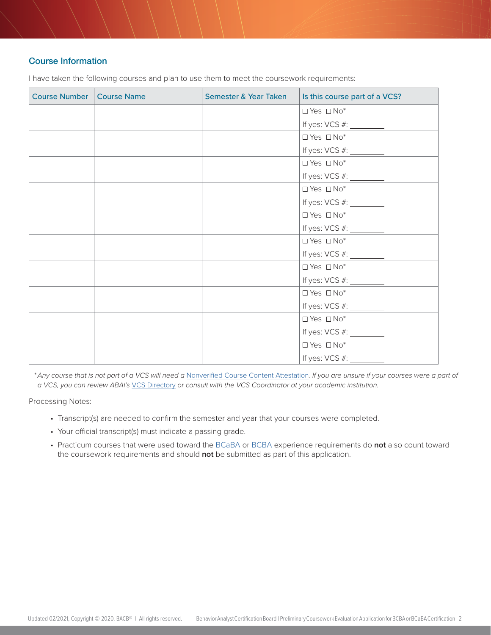## Course Information

| Course Number   Course Name | Semester & Year Taken | Is this course part of a VCS?                                                                                |
|-----------------------------|-----------------------|--------------------------------------------------------------------------------------------------------------|
|                             |                       | $\Box$ Yes $\Box$ No*                                                                                        |
|                             |                       | If yes: VCS #: $\frac{1}{\sqrt{1-\frac{1}{2}}$                                                               |
|                             |                       | $\Box$ Yes $\Box$ No*                                                                                        |
|                             |                       | If yes: VCS #: $\frac{1}{\sqrt{1-\frac{1}{2}}\sqrt{1-\frac{1}{2}}\sqrt{1-\frac{1}{2}}\sqrt{1-\frac{1}{2}}}}$ |
|                             |                       | $\Box$ Yes $\Box$ No*                                                                                        |
|                             |                       | If yes: VCS #: _________                                                                                     |
|                             |                       | $\Box$ Yes $\Box$ No*                                                                                        |
|                             |                       | If yes: VCS #: $\frac{1}{2}$                                                                                 |
|                             |                       | $\Box$ Yes $\Box$ No*                                                                                        |
|                             |                       |                                                                                                              |
|                             |                       | $\Box$ Yes $\Box$ No*                                                                                        |
|                             |                       |                                                                                                              |
|                             |                       | $\Box$ Yes $\Box$ No*                                                                                        |
|                             |                       |                                                                                                              |
|                             |                       | $\Box$ Yes $\Box$ No*                                                                                        |
|                             |                       |                                                                                                              |
|                             |                       | $\Box$ Yes $\Box$ No*                                                                                        |
|                             |                       |                                                                                                              |
|                             |                       | $\Box$ Yes $\Box$ No*                                                                                        |
|                             |                       |                                                                                                              |

I have taken the following courses and plan to use them to meet the coursework requirements:

*\* Any course that is not part of a VCS will need a* [Nonverified Course Content Attestation](https://www.bacb.com/wp-content/Course-Content-Attestation)*. If you are unsure if your courses were a part of a VCS, you can review ABAI's* [VCS Directory](https://www.abainternational.org/vcs/directory.aspx) *or consult with the VCS Coordinator at your academic institution.*

Processing Notes:

- Transcript(s) are needed to confirm the semester and year that your courses were completed.
- Your official transcript(s) must indicate a passing grade.
- Practicum courses that were used toward the [BCaBA](https://www.bacb.com/BCaBA-Handbook#Experience%20Requirements) or [BCBA](https://www.bacb.com/BCBA-Handbook#Experience%20Requirements) experience requirements do **not** also count toward the coursework requirements and should **not** be submitted as part of this application.